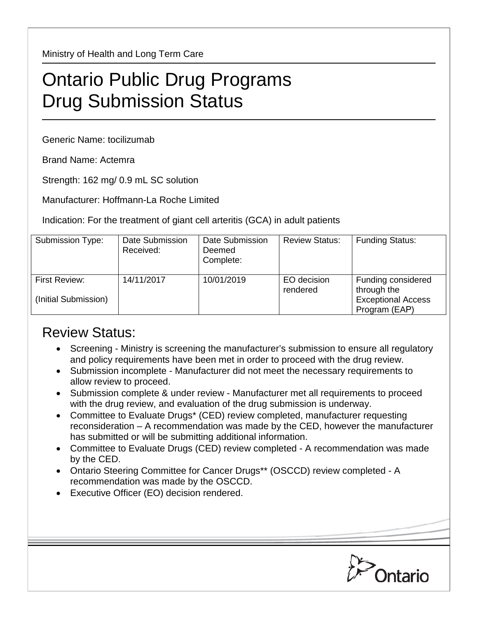Ministry of Health and Long Term Care

## Ontario Public Drug Programs Drug Submission Status

Generic Name: tocilizumab

Brand Name: Actemra

Strength: 162 mg/ 0.9 mL SC solution

Manufacturer: Hoffmann-La Roche Limited

Indication: For the treatment of giant cell arteritis (GCA) in adult patients

| Submission Type:                      | Date Submission<br>Received: | Date Submission<br>Deemed<br>Complete: | <b>Review Status:</b>   | <b>Funding Status:</b>                                                          |
|---------------------------------------|------------------------------|----------------------------------------|-------------------------|---------------------------------------------------------------------------------|
| First Review:<br>(Initial Submission) | 14/11/2017                   | 10/01/2019                             | EO decision<br>rendered | Funding considered<br>through the<br><b>Exceptional Access</b><br>Program (EAP) |

## Review Status:

- Screening Ministry is screening the manufacturer's submission to ensure all regulatory and policy requirements have been met in order to proceed with the drug review.
- Submission incomplete Manufacturer did not meet the necessary requirements to allow review to proceed.
- Submission complete & under review Manufacturer met all requirements to proceed with the drug review, and evaluation of the drug submission is underway.
- Committee to Evaluate Drugs\* (CED) review completed, manufacturer requesting reconsideration – A recommendation was made by the CED, however the manufacturer has submitted or will be submitting additional information.
- Committee to Evaluate Drugs (CED) review completed A recommendation was made by the CED.
- Ontario Steering Committee for Cancer Drugs\*\* (OSCCD) review completed A recommendation was made by the OSCCD.
- Executive Officer (EO) decision rendered.